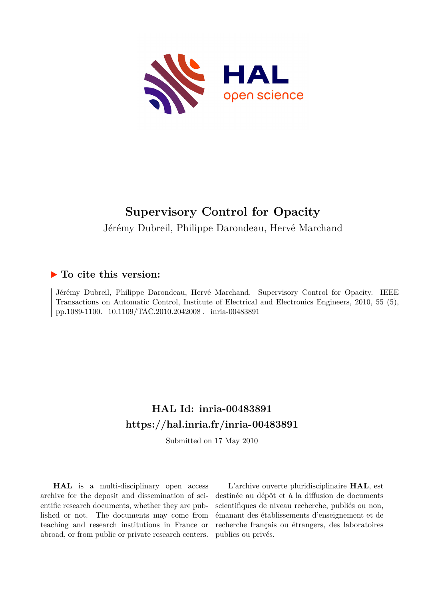

## **Supervisory Control for Opacity** Jérémy Dubreil, Philippe Darondeau, Hervé Marchand

### **To cite this version:**

Jérémy Dubreil, Philippe Darondeau, Hervé Marchand. Supervisory Control for Opacity. IEEE Transactions on Automatic Control, Institute of Electrical and Electronics Engineers, 2010, 55 (5), pp.1089-1100. 10.1109/TAC.2010.2042008. inria-00483891

### **HAL Id: inria-00483891 <https://hal.inria.fr/inria-00483891>**

Submitted on 17 May 2010

**HAL** is a multi-disciplinary open access archive for the deposit and dissemination of scientific research documents, whether they are published or not. The documents may come from teaching and research institutions in France or abroad, or from public or private research centers.

L'archive ouverte pluridisciplinaire **HAL**, est destinée au dépôt et à la diffusion de documents scientifiques de niveau recherche, publiés ou non, émanant des établissements d'enseignement et de recherche français ou étrangers, des laboratoires publics ou privés.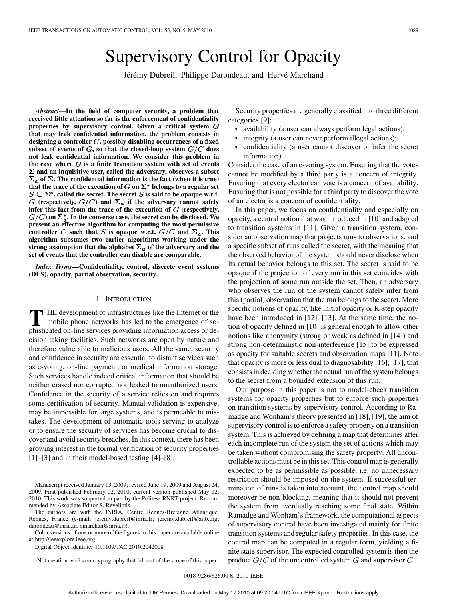# Supervisory Control for Opacity

Jérémy Dubreil, Philippe Darondeau, and Hervé Marchand

*Abstract—***In the field of computer security, a problem that received little attention so far is the enforcement of confidentiality properties by supervisory control. Given a critical system that may leak confidential information, the problem consists in designing a controller , possibly disabling occurrences of a fixed** subset of events of  $G$ , so that the closed-loop system  $G/C$  does **not leak confidential information. We consider this problem in** the case where  $G$  is a finite transition system with set of events  $\Sigma$  and an inquisitive user, called the adversary, observes a subset  $\Sigma_a$  of  $\Sigma$ . The confidential information is the fact (when it is true) that the trace of the execution of  $G$  on  $\Sigma^*$  belongs to a regular set  $S \subseteq \Sigma^*$ , called the secret. The secret S is said to be opaque w.r.t.  $G$  (respectively,  $G/C$ ) and  $\Sigma_a$  if the adversary cannot safely **infer this fact from the trace of the execution of**  $G$  **(respectively,**  $G/C$ ) on  $\Sigma^*_{\sigma}$ . In the converse case, the secret can be disclosed. We **present an effective algorithm for computing the most permissive controller** C such that S is opaque w.r.t.  $G/C$  and  $\Sigma_a$ . This **algorithm subsumes two earlier algorithms working under the** strong assumption that the alphabet  $\Sigma_a$  of the adversary and the **set of events that the controller can disable are comparable.**

*Index Terms—***Confidentiality, control, discrete event systems (DES), opacity, partial observation, security.**

#### I. INTRODUCTION

**T** HE development of infrastructures like the Internet or the mobile phone networks has led to the emergence of sophisticated on-line services providing information access or decision taking facilities. Such networks are open by nature and therefore vulnerable to malicious users. All the same, security and confidence in security are essential to distant services such as e-voting, on-line payment, or medical information storage. Such services handle indeed critical information that should be neither erased nor corrupted nor leaked to unauthorized users. Confidence in the security of a service relies on and requires some certification of security. Manual validation is expensive, may be impossible for large systems, and is permeable to mistakes. The development of automatic tools serving to analyze or to ensure the security of services has become crucial to discover and avoid security breaches. In this context, there has been growing interest in the formal verification of security properties  $[1]$ – $[3]$  and in their model-based testing  $[4]$ – $[8]$ .<sup>1</sup>

Manuscript received January 13, 2009; revised June 19, 2009 and August 24, 2009. First published February 02, 2010; current version published May 12, 2010. This work was supported in part by the Politess RNRT project. Recommended by Associate Editor S. Reveliotis.

The authors are with the INRIA, Centre Rennes-Bretagne Atlantique, Rennes, France (e-mail: jeremy.dubreil@inria.fr; jeremy.dubreil@aitb.org; darondeau@inria.fr; hmarchan@inria.fr).

Color versions of one or more of the figures in this paper are available online at http://ieeexplore.ieee.org.

Digital Object Identifier 10.1109/TAC.2010.2042008

1Not mention works on cryptography that fall out of the scope of this paper.

Security properties are generally classified into three different categories [9]:

- availability (a user can always perform legal actions);
- integrity (a user can never perform illegal actions);
- confidentiality (a user cannot discover or infer the secret information).

Consider the case of an e-voting system. Ensuring that the votes cannot be modified by a third party is a concern of integrity. Ensuring that every elector can vote is a concern of availability. Ensuring that is not possible for a third party to discover the vote of an elector is a concern of confidentiality.

In this paper, we focus on confidentiality and especially on opacity, a central notion that was introduced in [10] and adapted to transition systems in [11]. Given a transition system, consider an observation map that projects runs to observations, and a specific subset of runs called the secret, with the meaning that the observed behavior of the system should never disclose when its actual behavior belongs to this set. The secret is said to be opaque if the projection of every run in this set coincides with the projection of some run outside the set. Then, an adversary who observes the run of the system cannot safely infer from this (partial) observation that the run belongs to the secret. More specific notions of opacity, like initial opacity or K-step opacity have been introduced in [12], [13]. At the same time, the notion of opacity defined in [10] is general enough to allow other notions like anonymity (strong or weak as defined in [14]) and strong non-deterministic non-interference [15] to be expressed as opacity for suitable secrets and observation maps [11]. Note that opacity is more or less dual to diagnosability [16], [17], that consists in deciding whether the actual run of the system belongs to the secret from a bounded extension of this run.

Our purpose in this paper is not to model-check transition systems for opacity properties but to enforce such properties on transition systems by supervisory control. According to Ramadge and Wonham's theory presented in [18], [19], the aim of supervisory control is to enforce a safety property on a transition system. This is achieved by defining a map that determines after each incomplete run of the system the set of actions which may be taken without compromising the safety property. All uncontrollable actions must be in this set. This control map is generally expected to be as permissible as possible, i.e. no unnecessary restriction should be imposed on the system. If successful termination of runs is taken into account, the control map should moreover be non-blocking, meaning that it should not prevent the system from eventually reaching some final state. Within Ramadge and Wonham's framework, the computational aspects of supervisory control have been investigated mainly for finite transition systems and regular safety properties. In this case, the control map can be computed in a regular form, yielding a finite state supervisor. The expected controlled system is then the product  $G/C$  of the uncontrolled system G and supervisor  $C$ .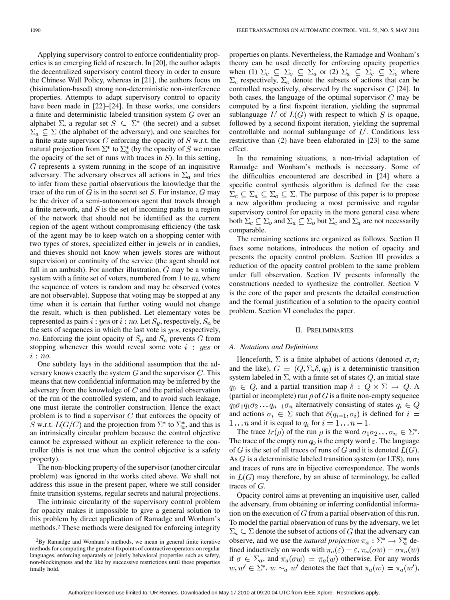1090 IEEE TRANSACTIONS ON AUTOMATIC CONTROL, VOL. 55, NO. 5, MAY 2010

Applying supervisory control to enforce confidentiality properties is an emerging field of research. In [20], the author adapts the decentralized supervisory control theory in order to ensure the Chinese Wall Policy, whereas in [21], the authors focus on (bisimulation-based) strong non-deterministic non-interference properties. Attempts to adapt supervisory control to opacity have been made in [22]–[24]. In these works, one considers a finite and deterministic labeled transition system  $G$  over an alphabet  $\Sigma$ , a regular set  $S \subseteq \Sigma^*$  (the secret) and a subset  $\Sigma_a \subseteq \Sigma$  (the alphabet of the adversary), and one searches for a finite state supervisor  $C$  enforcing the opacity of  $S$  w.r.t. the natural projection from  $\Sigma^*$  to  $\Sigma_a^*$  (by the opacity of S we mean the opacity of the set of runs with traces in  $S$ ). In this setting,  $G$  represents a system running in the scope of an inquisitive adversary. The adversary observes all actions in  $\Sigma_a$  and tries to infer from these partial observations the knowledge that the trace of the run of  $G$  is in the secret set  $S$ . For instance,  $G$  may be the driver of a semi-autonomous agent that travels through a finite network, and  $S$  is the set of incoming paths to a region of the network that should not be identified as the current region of the agent without compromising efficiency (the task of the agent may be to keep watch on a shopping center with two types of stores, specialized either in jewels or in candies, and thieves should not know when jewels stores are without supervision) or continuity of the service (the agent should not fall in an ambush). For another illustration,  $G$  may be a voting system with a finite set of voters, numbered from 1 to  $m$ , where the sequence of voters is random and may be observed (votes are not observable). Suppose that voting may be stopped at any time when it is certain that further voting would not change the result, which is then published. Let elementary votes be represented as pairs i: yes or i: no. Let  $S_u$ , respectively,  $S_n$  be the sets of sequences in which the last vote is  $yes$ , respectively, no. Enforcing the joint opacity of  $S_y$  and  $S_n$  prevents G from stopping whenever this would reveal some vote  $i$ : yes or  $i: no.$ 

One subtlety lays in the additional assumption that the adversary knows exactly the system  $G$  and the supervisor  $C$ . This means that new confidential information may be inferred by the adversary from the knowledge of  $C$  and the partial observation of the run of the controlled system, and to avoid such leakage, one must iterate the controller construction. Hence the exact problem is to find a supervisor  $C$  that enforces the opacity of S w.r.t.  $L(G/C)$  and the projection from  $\Sigma^*$  to  $\Sigma_a^*$ , and this is an intrinsically circular problem because the control objective cannot be expressed without an explicit reference to the controller (this is not true when the control objective is a safety property).

The non-blocking property of the supervisor (another circular problem) was ignored in the works cited above. We shall not address this issue in the present paper, where we still consider finite transition systems, regular secrets and natural projections.

The intrinsic circularity of the supervisory control problem for opacity makes it impossible to give a general solution to this problem by direct application of Ramadge and Wonham's methods.2 These methods were designed for enforcing integrity

properties on plants. Nevertheless, the Ramadge and Wonham's theory can be used directly for enforcing opacity properties when (1)  $\Sigma_c \subseteq \Sigma_o \subseteq \Sigma_a$  or (2)  $\Sigma_a \subseteq \Sigma_c \subseteq \Sigma_o$  where  $\Sigma_c$  respectively,  $\Sigma_o$  denote the subsets of actions that can be controlled respectively, observed by the supervisor  $C$  [24]. In both cases, the language of the optimal supervisor  $C$  may be computed by a first fixpoint iteration, yielding the supremal sublanguage  $L'$  of  $L(G)$  with respect to which S is opaque, followed by a second fixpoint iteration, yielding the supremal controllable and normal sublanguage of  $L'$ . Conditions less restrictive than (2) have been elaborated in [23] to the same effect.

In the remaining situations, a non-trivial adaptation of Ramadge and Wonham's methods is necessary. Some of the difficulties encountered are described in [24] where a specific control synthesis algorithm is defined for the case  $\Sigma_c \subseteq \Sigma_a \subseteq \Sigma_o \subseteq \Sigma$ . The purpose of this paper is to propose a new algorithm producing a most permissive and regular supervisory control for opacity in the more general case where both  $\Sigma_c \subseteq \Sigma_o$  and  $\Sigma_a \subseteq \Sigma_o$  but  $\Sigma_c$  and  $\Sigma_a$  are not necessarily comparable.

The remaining sections are organized as follows. Section II fixes some notations, introduces the notion of opacity and presents the opacity control problem. Section III provides a reduction of the opacity control problem to the same problem under full observation. Section IV presents informally the constructions needed to synthesize the controller. Section V is the core of the paper and presents the detailed construction and the formal justification of a solution to the opacity control problem. Section VI concludes the paper.

#### II. PRELIMINARIES

#### *A. Notations and Definitions*

Henceforth,  $\Sigma$  is a finite alphabet of actions (denoted  $\sigma$ ,  $\sigma_i$ ) and the like),  $G = (Q, \Sigma, \delta, q_0)$  is a deterministic transition system labeled in  $\Sigma$ , with a finite set of states  $Q$ , an initial state  $q_0 \in Q$ , and a partial transition map  $\delta: Q \times \Sigma \to Q$ . A (partial or incomplete) run  $\rho$  of G is a finite non-empty sequence  $q_0 \sigma_1 q_1 \sigma_2 \ldots q_{n-1} \sigma_n$  alternatively consisting of states  $q_i \in Q$ and actions  $\sigma_i \in \Sigma$  such that  $\delta(q_{i-1}, \sigma_i)$  is defined for  $i =$ 1... *n* and it is equal to  $q_i$  for  $i = 1...n - 1$ .

The trace  $tr(\rho)$  of the run  $\rho$  is the word  $\sigma_1 \sigma_2 \ldots \sigma_n \in \Sigma^*$ . The trace of the empty run  $q_0$  is the empty word  $\varepsilon$ . The language of G is the set of all traces of runs of G and it is denoted  $L(G)$ . As  $G$  is a deterministic labeled transition system (or LTS), runs and traces of runs are in bijective correspondence. The words in  $L(G)$  may therefore, by an abuse of terminology, be called traces of  $G$ .

Opacity control aims at preventing an inquisitive user, called the adversary, from obtaining or inferring confidential information on the execution of  $G$  from a partial observation of this run. To model the partial observation of runs by the adversary, we let  $\Sigma_a \subseteq \Sigma$  denote the subset of actions of G that the adversary can observe, and we use the *natural projection*  $\pi_a : \Sigma^* \to \Sigma_a^*$  defined inductively on words with  $\pi_a(\varepsilon) = \varepsilon$ ,  $\pi_a(\sigma w) = \sigma \pi_a(w)$ if  $\sigma \in \Sigma_a$ , and  $\pi_a(\sigma w) = \pi_a(w)$  otherwise. For any words  $w, w' \in \Sigma^*$ ,  $w \sim_a w'$  denotes the fact that  $\pi_a(w) = \pi_a(w')$ ,

<sup>2</sup>By Ramadge and Wonham's methods, we mean in general finite iterative methods for computing the greatest fixpoints of contractive operators on regular languages, enforcing separately or jointly behavioral properties such as safety, non-blockingness and the like by successive restrictions until these properties finally hold.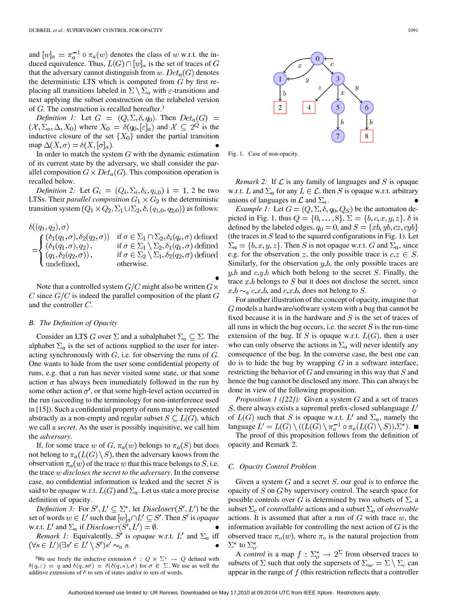and  $[w]_a = \pi_a^{-1} \circ \pi_a(w)$  denotes the class of w w.r.t. the induced equivalence. Thus,  $L(G) \cap [w]_a$  is the set of traces of G that the adversary cannot distinguish from  $w$ .  $Det_a(G)$  denotes the deterministic LTS which is computed from  $G$  by first replacing all transitions labeled in  $\Sigma \setminus \Sigma_a$  with  $\varepsilon$ -transitions and next applying the subset construction on the relabeled version of  $G$ . The construction is recalled hereafter.<sup>3</sup>

*Definition 1:* Let  $G = (Q, \Sigma, \delta, q_0)$ . Then  $Det_a(G)$  =  $(\mathcal{X}, \Sigma_a, \Delta, X_0)$  where  $X_0 = \delta(q_0, [\varepsilon]_a)$  and  $\mathcal{X} \subseteq 2^Q$  is the inductive closure of the set  $\{X_0\}$  under the partial transition map  $\Delta(X, \sigma) = \delta(X, [\sigma]_a)$ .

In order to match the system  $G$  with the dynamic estimation of its current state by the adversary, we shall consider the parallel composition  $G \times Det_a(G)$ . This composition operation is recalled below.

*Definition 2:* Let  $G_i = (Q_i, \Sigma_i, \delta_i, q_{i,0})$  i = 1, 2 be two LTSs. Their *parallel composition*  $G_1 \times G_2$  is the deterministic transition system  $(Q_1 \times Q_2, \Sigma_1 \cup \Sigma_2, \delta, (q_{1,0}, q_{2,0}))$  as follows:

$$
\delta((q_1, q_2), \sigma)
$$
\n
$$
= \begin{cases}\n(\delta_1(q_1, \sigma), \delta_2(q_2, \sigma)) & \text{if } \sigma \in \Sigma_1 \cap \Sigma_2, \delta_i(q_i, \sigma) \text{ defined} \\
(\delta_1(q_1, \sigma), q_2), & \text{if } \sigma \in \Sigma_1 \setminus \Sigma_2, \delta_1(q_1, \sigma) \text{ defined} \\
(q_1, \delta_2(q_2, \sigma)), & \text{if } \sigma \in \Sigma_2 \setminus \Sigma_1, \delta_2(q_2, \sigma) \text{ defined} \\
\text{undefined}, & \text{otherwise}.\n\end{cases}
$$

Note that a controlled system  $G/C$  might also be written  $G \times$ C since  $G/C$  is indeed the parallel composition of the plant  $G$ and the controller  $C$ .

#### *B. The Definition of Opacity*

Consider an LTS G over  $\Sigma$  and a subalphabet  $\Sigma_a \subseteq \Sigma$ . The alphabet  $\Sigma_a$  is the set of actions supplied to the user for interacting synchronously with  $G$ , i.e. for observing the runs of  $G$ . One wants to hide from the user some confidential property of runs, e.g. that a run has never visited some state, or that some action  $\sigma$  has always been immediately followed in the run by some other action  $\sigma'$ , or that some high-level action occurred in the run (according to the terminology for non-interference used in [15]). Such a confidential property of runs may be represented abstractly as a non-empty and regular subset  $S \subseteq L(G)$ , which we call a *secret*. As the user is possibly inquisitive, we call him the *adversary*.

If, for some trace w of G,  $\pi_a(w)$  belongs to  $\pi_a(S)$  but does not belong to  $\pi_a(L(G) \setminus S)$ , then the adversary knows from the observation  $\pi_a(w)$  of the trace w that this trace belongs to S, i.e. the trace *discloses the secret to the adversary*. In the converse case, no confidential information is leaked and the secret  $S$  is said to be *opaque* w.r.t.  $L(G)$  and  $\Sigma_a$ . Let us state a more precise definition of opacity.

*Definition 3:* For  $S', L' \subseteq \Sigma^*$ , let  $Discloser(S', L')$  be the set of words  $w \in L'$  such that  $[w]_a \cap L' \subseteq S'$ . Then S' is *opaque* w.r.t. L' and  $\Sigma_a$  if  $Discloser(S', L') = \emptyset$ .

*Remark 1:* Equivalently, S' is *opaque* w.r.t.  $L'$  and  $\Sigma_a$  iff  $(\forall s \in L')(\exists s' \in L' \setminus S')s' \sim_a s.$ 

<sup>3</sup>We use freely the inductive extension  $\delta$  :  $Q \times \Sigma^* \rightarrow Q$  defined with  $\delta(q,\varepsilon) = q$  and  $\delta(q, s\sigma) = \delta(\delta(q, s), \sigma)$  for  $\sigma \in \Sigma$ . We use as well the additive extensions of  $\delta$  to sets of states and/or to sets of words.



Fig. 1. Case of non-opacity.

*Remark 2:* If  $\mathcal L$  is any family of languages and  $S$  is opaque w.r.t. L and  $\Sigma_a$  for any  $L \in \mathcal{L}$ , then S is opaque w.r.t. arbitrary unions of languages in  $\mathcal L$  and  $\Sigma_a$ .

*Example 1:* Let  $G = (Q, \Sigma, \delta, q_0, Q_S)$  be the automaton depicted in Fig. 1, thus  $Q = \{0, \ldots, 8\}, \Sigma = \{b, c, x, y, z\}, \delta$  is defined by the labeled edges,  $q_0 = 0$ , and  $S = \{xb, yb, cz, cyb\}$ (the traces in  $S$  lead to the squared configurations in Fig. 1). Let  $\Sigma_a = \{b, x, y, z\}$ . Then S is not opaque w.r.t. G and  $\Sigma_a$ , since e.g. for the observation z, the only possible trace is  $c \in S$ . Similarly, for the observation  $y.b$ , the only possible traces are  $y.b$  and  $c.y.b$  which both belong to the secret S. Finally, the trace x b belongs to S but it does not disclose the secret, since  $x.b \sim_a c.x.b.$  and  $c.x.b.$  does not belong to S. ♦

For another illustration of the concept of opacity, imagine that models a hardware/software system with a bug that cannot be fixed because it is in the hardware and  $S$  is the set of traces of all runs in which the bug occurs, i.e. the secret  $S$  is the run-time extension of the bug. If S is opaque w.r.t.  $L(G)$ , then a user who can only observe the actions in  $\Sigma_a$  will never identify any consequence of the bug. In the converse case, the best one can do is to hide the bug by wrapping  $G$  in a software interface, restricting the behavior of  $G$  and ensuring in this way that  $S$  and hence the bug cannot be disclosed any more. This can always be done in view of the following proposition.

*Proposition 1 ([22]):* Given a system  $G$  and a set of traces  $S$ , there always exists a supremal prefix-closed sublanguage  $L'$ of  $L(G)$  such that S is opaque w.r.t. L' and  $\Sigma_a$ , namely the language  $L' = L(G) \setminus ((L(G) \setminus \pi_a^{-1} \circ \pi_a(L(G) \setminus S)).\Sigma^*)$ .

The proof of this proposition follows from the definition of opacity and Remark 2.

#### *C. Opacity Control Problem*

Given a system  $G$  and a secret  $S$ , our goal is to enforce the opacity of  $S$  on  $G$  by supervisory control. The search space for possible controls over G is determined by two subsets of  $\Sigma$ , a subset  $\Sigma_c$  of *controllable* actions and a subset  $\Sigma_o$  of *observable* actions. It is assumed that after a run of  $G$  with trace  $w$ , the information available for controlling the next action of  $G$  is the observed trace  $\pi_o(w)$ , where  $\pi_o$  is the natural projection from  $\Sigma^*$  to  $\Sigma^*_o$ .

A *control* is a map  $f : \Sigma_o^* \to 2^{\Sigma}$  from observed traces to subsets of  $\Sigma$  such that only the supersets of  $\Sigma_{uc} = \Sigma \setminus \Sigma_c$  can appear in the range of  $f$  (this restriction reflects that a controller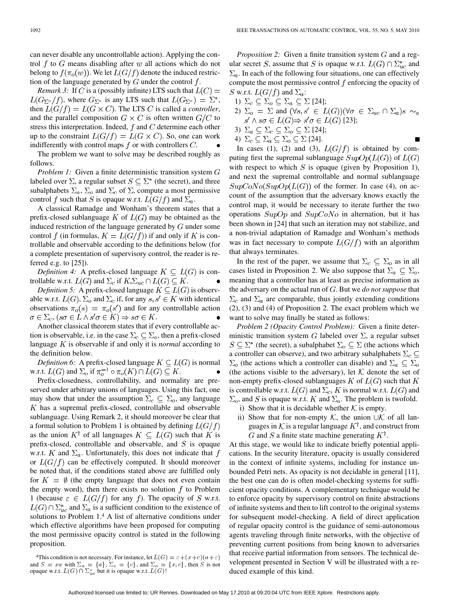can never disable any uncontrollable action). Applying the control f to G means disabling after w all actions which do not belong to  $f(\pi_o(w))$ . We let  $L(G/f)$  denote the induced restriction of the language generated by  $G$  under the control  $f$ .

*Remark 3:* If C is a (possibly infinite) LTS such that  $L(C)$  =  $L(G_{\Sigma^*}/f)$ , where  $G_{\Sigma^*}$  is any LTS such that  $L(G_{\Sigma^*}) = \Sigma^*$ , then  $L(G/f) = L(G \times C)$ . The LTS C is called a *controller*, and the parallel composition  $G \times C$  is often written  $G/C$  to stress this interpretation. Indeed,  $f$  and  $C$  determine each other up to the constraint  $L(G/f) = L(G \times C)$ . So, one can work indifferently with control maps  $f$  or with controllers  $C$ .

The problem we want to solve may be described roughly as follows.

*Problem 1:* Given a finite deterministic transition system G labeled over  $\Sigma$ , a regular subset  $S \subseteq \Sigma^*$  (the secret), and three subalphabets  $\Sigma_a$ ,  $\Sigma_o$  and  $\Sigma_c$  of  $\Sigma$ , compute a most permissive control f such that S is opaque w.r.t.  $L(G/f)$  and  $\Sigma_a$ .

A classical Ramadge and Wonham's theorem states that a prefix-closed sublanguage K of  $L(G)$  may be obtained as the induced restriction of the language generated by  $G$  under some control f (in formulas,  $K = L(G/f)$ ) if and only if K is controllable and observable according to the definitions below (for a complete presentation of supervisory control, the reader is referred e.g. to [25]).

*Definition 4:* A prefix-closed language  $K \subseteq L(G)$  is controllable w.r.t.  $L(G)$  and  $\Sigma_c$  if  $K.\Sigma_{uc} \cap L(G) \subseteq K$ .

*Definition 5:* A prefix-closed language  $K \subseteq L(G)$  is observable w.r.t.  $L(G)$ ,  $\Sigma_o$  and  $\Sigma_c$  if, for any  $s, s' \in K$  with identical observations  $\pi_o(s) = \pi_o(s')$  and for any controllable action  $\sigma \in \Sigma_c$ ,  $(s\sigma \in L \wedge s'\sigma \in K) \Rightarrow s\sigma \in K$ .

Another classical theorem states that if every controllable action is observable, i.e. in the case  $\Sigma_c \subseteq \Sigma_o$ , then a prefix-closed language  $K$  is observable if and only it is *normal* according to the definition below.

*Definition 6:* A prefix-closed language  $K \subseteq L(G)$  is normal w.r.t.  $L(G)$  and  $\Sigma_o$  if  $\pi_o^{-1} \circ \pi_o(K) \cap L(G) \subseteq K$ .

Prefix-closedness, controllability, and normality are preserved under arbitrary unions of languages. Using this fact, one may show that under the assumption  $\Sigma_c \subseteq \Sigma_o$ , any language  $K$  has a supremal prefix-closed, controllable and observable sublanguage. Using Remark 2, it should moreover be clear that a formal solution to Problem 1 is obtained by defining  $L(G/f)$ as the union  $K^{\dagger}$  of all languages  $K \subseteq L(G)$  such that K is prefix-closed, controllable and observable, and  $S$  is opaque w.r.t. K and  $\Sigma_a$ . Unfortunately, this does not indicate that f or  $L(G/f)$  can be effectively computed. It should moreover be noted that, if the conditions stated above are fulfilled only for  $K = \emptyset$  (the empty language that does not even contain the empty word), then there exists no solution  $f$  to Problem 1 (because  $\varepsilon \in L(G/f)$  for any f). The opacity of S w.r.t.  $L(G) \cap \sum_{u}^{*}$  and  $\Sigma_a$  is a sufficient condition to the existence of solutions to Problem 1.4 A list of alternative conditions under which effective algorithms have been proposed for computing the most permissive opacity control is stated in the following proposition.

*Proposition 2:* Given a finite transition system  $G$  and a regular secret S, assume that S is opaque w.r.t.  $L(G) \cap \Sigma_{uc}^*$  and  $\Sigma_a$ . In each of the following four situations, one can effectively compute the most permissive control  $f$  enforcing the opacity of S w.r.t.  $L(G/f)$  and  $\Sigma_a$ :

1) 
$$
\Sigma_c \subseteq \Sigma_o \subseteq \Sigma_a \subseteq \Sigma
$$
 [24];

- 2)  $\Sigma_o = \Sigma$  and  $(\forall s, s' \in L(G))(\forall \sigma \in \Sigma_{uc} \cap \Sigma_a)s \sim_a$  $s' \wedge s\sigma \in L(G) \Rightarrow s'\sigma \in L(G)$  [23];
- 3)  $\Sigma_a \subseteq \Sigma_c \subseteq \Sigma_o \subseteq \Sigma$  [24];

4) 
$$
\Sigma_c \subseteq \Sigma_a \subseteq \Sigma_o \subseteq \Sigma
$$
 [24].

In cases (1), (2) and (3),  $L(G/f)$  is obtained by computing first the supremal sublanguage  $SupOp(L(G))$  of  $L(G)$ with respect to which  $S$  is opaque (given by Proposition 1), and next the supremal controllable and normal sublanguage  $SupCoNo(SupOp(L(G))$  of the former. In case (4), on account of the assumption that the adversary knows exactly the control map, it would be necessary to iterate further the two operations  $SupOp$  and  $SupCoNo$  in alternation, but it has been shown in [24] that such an iteration may not stabilize, and a non-trivial adaptation of Ramadge and Wonham's methods was in fact necessary to compute  $L(G/f)$  with an algorithm that always terminates.

In the rest of the paper, we assume that  $\Sigma_c \subseteq \Sigma_o$  as in all cases listed in Proposition 2. We also suppose that  $\Sigma_a \subseteq \Sigma_o$ , meaning that a controller has at least as precise information as the adversary on the actual run of G. But we *do not suppose* that  $\Sigma_c$  and  $\Sigma_a$  are comparable, thus jointly extending conditions (2), (3) and (4) of Proposition 2. The exact problem which we want to solve may finally be stated as follows:

*Problem 2 (Opacity Control Problem):* Given a finite deterministic transition system G labeled over  $\Sigma$ , a regular subset  $S \subseteq \Sigma^*$  (the secret), a subalphabet  $\Sigma_o \subseteq \Sigma$  (the actions which a controller can observe), and two arbitrary subalphabets  $\Sigma_c \subseteq$  $\Sigma_o$  (the actions which a controller can disable) and  $\Sigma_a \subseteq \Sigma_o$ (the actions visible to the adversary), let  $K$  denote the set of non-empty prefix-closed sublanguages  $K$  of  $L(G)$  such that  $K$ is controllable w.r.t.  $L(G)$  and  $\Sigma_c$ , K is normal w.r.t.  $L(G)$  and  $\Sigma_o$ , and S is opaque w.r.t. K and  $\Sigma_a$ . The problem is twofold.

i) Show that it is decidable whether  $K$  is empty.

ii) Show that for non-empty  $K$ , the union  $\cup K$  of all languages in K is a regular language  $K^{\dagger}$ , and construct from G and S a finite state machine generating  $K^{\dagger}$ .

At this stage, we would like to indicate briefly potential applications. In the security literature, opacity is usually considered in the context of infinite systems, including for instance unbounded Petri nets. As opacity is not decidable in general [11], the best one can do is often model-checking systems for sufficient opacity conditions. A complementary technique would be to enforce opacity by supervisory control on finite abstractions of infinite systems and then to lift control to the original systems for subsequent model-checking. A field of direct application of regular opacity control is the guidance of semi-autonomous agents traveling through finite networks, with the objective of preventing current positions from being known to adversaries that receive partial information from sensors. The technical development presented in Section V will be illustrated with a reduced example of this kind.

<sup>&</sup>lt;sup>4</sup>This condition is not necessary. For instance, let  $L(G) = \varepsilon + (x + c)(a + \varepsilon)$ and  $S = xa$  with  $\Sigma_a = \{a\}, \Sigma_c = \{c\},$  and  $\Sigma_o = \{x, c\}$ , then S is not opaque w.r.t.  $L(G) \cap \Sigma_{uc}^*$  but it is opaque w.r.t.  $L(G)$ !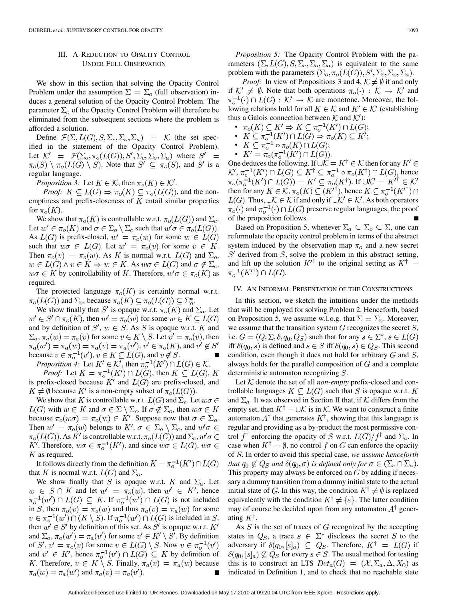#### III. A REDUCTION TO OPACITY CONTROL UNDER FULL OBSERVATION

We show in this section that solving the Opacity Control Problem under the assumption  $\Sigma = \Sigma_0$  (full observation) induces a general solution of the Opacity Control Problem. The parameter  $\Sigma_o$  of the Opacity Control Problem will therefore be eliminated from the subsequent sections where the problem is afforded a solution.

Define  $\mathcal{F}(\Sigma, L(G), S, \Sigma_c, \Sigma_o, \Sigma_a) = \mathcal{K}$  (the set specified in the statement of the Opacity Control Problem). Let  $K' = \mathcal{F}(\Sigma_o, \pi_o(L(G)), S', \Sigma_c, \Sigma_o, \Sigma_a)$  where  $S' =$  $\pi_o(S) \setminus \pi_o(L(G) \setminus S)$ . Note that  $S' \subseteq \pi_o(S)$ , and  $S'$  is a regular language.

*Proposition 3:* Let  $K \in \mathcal{K}$ , then  $\pi_o(K) \in \mathcal{K}'$ .

*Proof:*  $K \subseteq L(G) \Rightarrow \pi_o(K) \subseteq \pi_o(L(G))$ , and the nonemptiness and prefix-closeness of  $K$  entail similar properties for  $\pi_o(K)$ .

We show that  $\pi_o(K)$  is controllable w.r.t.  $\pi_o(L(G))$  and  $\Sigma_c$ . Let  $w' \in \pi_o(K)$  and  $\sigma \in \Sigma_o \setminus \Sigma_c$  such that  $w' \sigma \in \pi_o(L(G))$ . As  $L(G)$  is prefix-closed,  $w' = \pi_o(w)$  for some  $w \in L(G)$ such that  $w\sigma \in L(G)$ . Let  $w' = \pi_o(v)$  for some  $v \in K$ . Then  $\pi_o(v) = \pi_o(w)$ . As K is normal w.r.t.  $L(G)$  and  $\Sigma_o$ ,  $w \in L(G) \land v \in K \Rightarrow w \in K$ . As  $w\sigma \in L(G)$  and  $\sigma \notin \Sigma_c$ ,  $w\sigma \in K$  by controllability of K. Therefore,  $w'\sigma \in \pi_o(K)$  as required.

The projected language  $\pi_o(K)$  is certainly normal w.r.t.  $\pi_o(L(G))$  and  $\Sigma_o$ , because  $\pi_o(K) \subseteq \pi_o(L(G)) \subseteq \Sigma_o^*$ .

We show finally that S' is opaque w.r.t.  $\pi_o(K)$  and  $\Sigma_a$ . Let  $w' \in S' \cap \pi_o(K)$ , then  $w' = \pi_o(w)$  for some  $w \in K \subseteq L(G)$ and by definition of  $S'$ ,  $w \in S$ . As S is opaque w.r.t. K and  $\Sigma_a$ ,  $\pi_a(w) = \pi_a(v)$  for some  $v \in K \setminus S$ . Let  $v' = \pi_o(v)$ , then  $\pi_a(w') = \pi_a(w) = \pi_a(v) = \pi_a(v'), v' \in \pi_o(K)$ , and  $v' \notin S'$ because  $v \in \pi_{0}^{-1}(v'), v \in K \subseteq L(G)$ , and  $v \notin S$ .

*Proposition 4:* Let  $K' \in K'$ , then  $\pi_{o}^{-1}(K') \cap L(G) \in \mathcal{K}$ .

*Proof:* Let  $K = \pi_o^{-1}(K') \cap L(G)$ , then  $K \subseteq L(G)$ , K is prefix-closed because  $K'$  and  $L(G)$  are prefix-closed, and  $K \neq \emptyset$  because  $K'$  is a non-empty subset of  $\pi_o(L(G))$ .

We show that K is controllable w.r.t.  $L(G)$  and  $\Sigma_c$ . Let  $w\sigma \in$  $L(G)$  with  $w \in K$  and  $\sigma \in \Sigma \setminus \Sigma_c$ . If  $\sigma \notin \Sigma_o$ , then  $w\sigma \in K$ because  $\pi_o(w\sigma) = \pi_o(w) \in K'$ . Suppose now that  $\sigma \in \Sigma_o$ . Then  $w' = \pi_o(w)$  belongs to  $K', \sigma \in \Sigma_o \setminus \Sigma_c$ , and  $w' \sigma \in$  $\pi_o(L(G))$ . As K' is controllable w.r.t.  $\pi_o(L(G))$  and  $\Sigma_c, w' \sigma \in$ K'. Therefore,  $w\sigma \in \pi_0^{-1}(K')$ , and since  $w\sigma \in L(G)$ ,  $w\sigma \in$  $K$  as required.

It follows directly from the definition  $K = \pi_0^{-1}(K') \cap L(G)$ that K is normal w.r.t.  $L(G)$  and  $\Sigma_o$ .

We show finally that S is opaque w.r.t. K and  $\Sigma_a$ . Let  $w \in S \cap K$  and let  $w' = \pi_o(w)$ , then  $w' \in K'$ , hence  $\pi_o^{-1}(w') \cap L(G) \subseteq K$ . If  $\pi_o^{-1}(w') \cap L(G)$  is not included in S, then  $\pi_o(v) = \pi_o(w)$  and thus  $\pi_a(v) = \pi_a(w)$  for some  $v \in \pi_0^{-1}(w') \cap (K \setminus S)$ . If  $\pi_0^{-1}(w') \cap L(G)$  is included in S, then  $w' \in S'$  by definition of this set. As S' is opaque w.r.t.  $K'$ and  $\Sigma_a$ ,  $\pi_a(w') = \pi_a(v')$  for some  $v' \in K' \setminus S'$ . By definition of S',  $v' = \pi_o(v)$  for some  $v \in L(G) \setminus S$ . Now  $v \in \pi_o^{-1}(v')$ and  $v' \in K'$ , hence  $\pi_0^{-1}(v') \cap L(G) \subseteq K$  by definition of K. Therefore,  $v \in K \setminus S$ . Finally,  $\pi_a(v) = \pi_a(w)$  because  $\pi_a(w) = \pi_a(w')$  and  $\pi_a(v) = \pi_a(v')$ .

*Proposition 5:* The Opacity Control Problem with the parameters  $(\Sigma, L(G), S, \Sigma_c, \Sigma_o, \Sigma_a)$  is equivalent to the same problem with the parameters  $(\Sigma_o, \pi_o(L(G)), S', \Sigma_c, \Sigma_o, \Sigma_a)$ .

*Proof:* In view of Propositions 3 and 4,  $K \neq \emptyset$  if and only if  $K' \neq \emptyset$ . Note that both operations  $\pi_o(\cdot) : K \to K'$  and  $\pi_o^{-1}(\cdot) \cap L(G) : \mathcal{K}' \to \mathcal{K}$  are monotone. Moreover, the following relations hold for all  $K \in \mathcal{K}$  and  $K' \in \mathcal{K}'$  (establishing thus a Galois connection between  $K$  and  $K'$ :

- $\bullet \ \pi_o(K) \subseteq K' \Rightarrow K \subseteq \pi_o^{-1}(K') \cap L(G);$
- $K \subseteq \pi_{\alpha}^{-1}(K') \cap L(G) \Rightarrow \pi_{\alpha}(K) \subseteq K';$
- $K \subseteq \pi_{o}^{-1} \circ \pi_{o}(K) \cap L(G);$
- $K' = \pi_o(\pi_o^{-1}(K') \cap L(G)).$

One deduces the following. If  $\cup \mathcal{K} = K^{\dagger} \in \mathcal{K}$  then for any  $K' \in$ ,  $\pi_{\overline{o}}^{-1}(K') \cap L(G) \subseteq K^{\dagger} \subseteq \pi_{\overline{o}}^{-1} \circ \pi_o(K^{\dagger}) \cap L(G)$ , hence . If then for any  $K \in \mathcal{K}$ ,  $\pi_o(K) \subseteq (K'^{\dagger})$ , hence  $K \subseteq \pi_o^{-1}(K'^{\dagger}) \cap$  $L(G)$ . Thus,  $\cup \mathcal{K} \in \mathcal{K}$  if and only if  $\cup \mathcal{K}' \in \mathcal{K}'$ . As both operators  $\pi_o(\cdot)$  and  $\pi_o^{-1}(\cdot) \cap L(G)$  preserve regular languages, the proof of the proposition follows.

Based on Proposition 5, whenever  $\Sigma_a \subseteq \Sigma_0 \subseteq \Sigma$ , one can reformulate the opacity control problem in terms of the abstract system induced by the observation map  $\pi_o$  and a new secret  $S'$  derived from  $S$ , solve the problem in this abstract setting, and lift up the solution  $K'^{\dagger}$  to the original setting as  $K^{\dagger}$  =  $\pi_o^{-1}(K'^{\dagger}) \cap L(G).$ 

#### IV. AN INFORMAL PRESENTATION OF THE CONSTRUCTIONS

In this section, we sketch the intuitions under the methods that will be employed for solving Problem 2. Henceforth, based on Proposition 5, we assume w.l.o.g. that  $\Sigma = \Sigma_o$ . Moreover, we assume that the transition system  $G$  recognizes the secret  $S$ , i.e.  $G = (Q, \Sigma, \delta, q_0, Q_S)$  such that for any  $s \in \Sigma^*$ ,  $s \in L(G)$ iff  $\delta(q_0, s)$  is defined and  $s \in S$  iff  $\delta(q_0, s) \in Q_S$ . This second condition, even though it does not hold for arbitrary  $G$  and  $S$ , always holds for the parallel composition of  $G$  and a complete deterministic automaton recognizing  $S$ .

Let  $K$  denote the set of all *non-empty* prefix-closed and controllable languages  $K \subseteq L(G)$  such that S is opaque w.r.t. K and  $\Sigma_a$ . It was observed in Section II that, if K differs from the empty set, then  $K^{\dagger} = \bigcup \mathcal{K}$  is in  $\mathcal{K}$ . We want to construct a finite automaton  $A^{\dagger}$  that generates  $K^{\dagger}$ , showing that this language is regular and providing as a by-product the most permissive control  $f^{\dagger}$  enforcing the opacity of S w.r.t.  $L(G)/f^{\dagger}$  and  $\Sigma_a$ . In case when  $K^{\dagger} = \emptyset$ , no control f on G can enforce the opacity of . In order to avoid this special case, *we assume henceforth that*  $q_0 \notin Q_S$  *and*  $\delta(q_0, \sigma)$  *is defined only for*  $\sigma \in (\Sigma_c \cap \Sigma_a)$ *.* This property may always be enforced on  $G$  by adding if necessary a dummy transition from a dummy initial state to the actual initial state of G. In this way, the condition  $K^{\dagger} \neq \emptyset$  is replaced equivalently with the condition  $K^{\dagger} \neq {\varepsilon}$ . The latter condition may of course be decided upon from any automaton  $A^{\dagger}$  generating  $K^{\dagger}$ .

As  $S$  is the set of traces of  $G$  recognized by the accepting states in  $Q_S$ , a trace  $s \in \Sigma^*$  discloses the secret S to the adversary if  $\delta(q_0, [s]_a) \subseteq Q_S$ . Therefore,  $K^{\dagger} = L(G)$  if  $\delta(q_0, [s]_a) \not\subseteq Q_S$  for every  $s \in S$ . The usual method for testing this is to construct an LTS  $Det_a(G) = (\mathcal{X}, \Sigma_a, \Delta, X_0)$  as indicated in Definition 1, and to check that no reachable state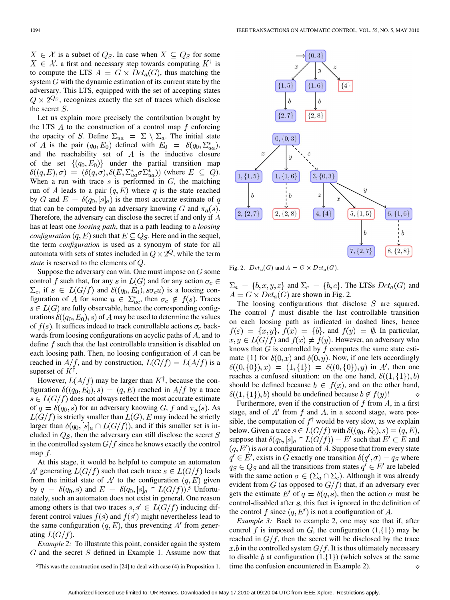$X \in \mathcal{X}$  is a subset of  $Q_S$ . In case when  $X \subseteq Q_S$  for some  $X \in \mathcal{X}$ , a first and necessary step towards computing  $K^{\dagger}$  is to compute the LTS  $A = G \times Det_a(G)$ , thus matching the system  $G$  with the dynamic estimation of its current state by the adversary. This LTS, equipped with the set of accepting states  $Q \times 2^{Q_s}$ , recognizes exactly the set of traces which disclose the secret  $S$ .

Let us explain more precisely the contribution brought by the LTS A to the construction of a control map f enforcing the opacity of S. Define  $\Sigma_{ua} = \Sigma \setminus \Sigma_a$ . The initial state of A is the pair  $(q_0, E_0)$  defined with  $E_0 = \delta(q_0, \Sigma_{ua}^*)$ , and the reachability set of  $A$  is the inductive closure of the set  $\{(q_0, E_0)\}$  under the partial transition map  $\delta((q,E),\sigma) = (\delta(q,\sigma), \delta(E,\Sigma_{ua}^*\sigma\Sigma_{ua}^*))$  (where  $E \subseteq Q$ ). When a run with trace  $s$  is performed in  $G$ , the matching run of A leads to a pair  $(q, E)$  where q is the state reached by G and  $E = \delta(q_0, [s]_a)$  is the most accurate estimate of q that can be computed by an adversary knowing G and  $\pi_a(s)$ . Therefore, the adversary can disclose the secret if and only if  $A$ has at least one *loosing path*, that is a path leading to a *loosing configuration*  $(q, E)$  such that  $E \subseteq Q_S$ . Here and in the sequel, the term *configuration* is used as a synonym of state for all automata with sets of states included in  $Q \times 2^Q$ , while the term *state* is reserved to the elements of  $Q$ .

Suppose the adversary can win. One must impose on  $G$  some control f such that, for any s in  $L(G)$  and for any action  $\sigma_c \in$  $\Sigma_c$ , if  $s \in L(G/f)$  and  $\delta((q_0, E_0), s\sigma_c u)$  is a loosing configuration of A for some  $u \in \sum_{uc}^{*}$ , then  $\sigma_c \notin f(s)$ . Traces  $s \in L(G)$  are fully observable, hence the corresponding configurations  $\delta((q_0, E_0), s)$  of A may be used to determine the values of  $f(s)$ . It suffices indeed to track controllable actions  $\sigma_c$  backwards from loosing configurations on acyclic paths of  $A$ , and to define  $f$  such that the last controllable transition is disabled on each loosing path. Then, no loosing configuration of  $A$  can be reached in  $A/f$ , and by construction,  $L(G/f) = L(A/f)$  is a superset of  $K^{\dagger}$ .

However,  $L(A/f)$  may be larger than  $K^{\dagger}$ , because the configuration  $\delta((q_0, E_0), s) = (q, E)$  reached in  $A/f$  by a trace  $s \in L(G/f)$  does not always reflect the most accurate estimate of  $q = \delta(q_0, s)$  for an adversary knowing G, f and  $\pi_a(s)$ . As  $L(G/f)$  is strictly smaller than  $L(G)$ , E may indeed be strictly larger than  $\delta(q_0, [s]_a \cap L(G/f))$ , and if this smaller set is included in  $Q_S$ , then the adversary can still disclose the secret S in the controlled system  $G/f$  since he knows exactly the control map  $f$ .

At this stage, it would be helpful to compute an automaton A' generating  $L(G/f)$  such that each trace  $s \in L(G/f)$  leads from the initial state of A' to the configuration  $(q, E)$  given by  $q = \delta(q_0, s)$  and  $E = \delta(q_0, [s]_a \cap L(G/f)).$ <sup>5</sup> Unfortunately, such an automaton does not exist in general. One reason among others is that two traces  $s, s' \in L(G/f)$  inducing different control values  $f(s)$  and  $f(s')$  might nevertheless lead to the same configuration  $(q, E)$ , thus preventing A' from generating  $L(G/f)$ .

*Example 2:* To illustrate this point, consider again the system  $G$  and the secret  $S$  defined in Example 1. Assume now that



Fig. 2.  $Det_a(G)$  and  $A = G \times Det_a(G)$ .

 $\Sigma_a = \{b, x, y, z\}$  and  $\Sigma_c = \{b, c\}$ . The LTSs  $Det_a(G)$  and  $A = G \times Det_a(G)$  are shown in Fig. 2.

The loosing configurations that disclose  $S$  are squared. The control  $f$  must disable the last controllable transition on each loosing path as indicated in dashed lines, hence  $f(\varepsilon) = \{x, y\}, f(x) = \{b\}, \text{ and } f(y) = \emptyset.$  In particular,  $x, y \in L(G/f)$  and  $f(x) \neq f(y)$ . However, an adversary who knows that  $G$  is controlled by  $f$  computes the same state estimate  $\{1\}$  for  $\delta(0, x)$  and  $\delta(0, y)$ . Now, if one lets accordingly  $\delta((0, \{0\}), x) = (1, \{1\}) = \delta((0, \{0\}), y)$  in A', then one reaches a confused situation: on the one hand,  $\delta((1,\{1\}),b)$ should be defined because  $b \in f(x)$ , and on the other hand,  $\delta((1,\{1\}),b)$  should be undefined because  $b \notin f(y)$ !  $\Diamond$ 

Furthermore, even if the construction of  $f$  from  $A$ , in a first stage, and of  $A'$  from f and A, in a second stage, were possible, the computation of  $f^{\dagger}$  would be very slow, as we explain below. Given a trace  $s \in L(G/f)$  with  $\delta((q_0, E_0), s) = (q, E)$ , suppose that  $\delta(q_0, [s]_a \cap L(G/f)) = E'$  such that  $E' \subset E$  and  $(q, E')$  is *not* a configuration of A. Suppose that from every state  $q' \in E'$ , exists in G exactly one transition  $\delta(q', \sigma) = q_S$  where  $q_S \in Q_S$  and all the transitions from states  $q' \in E'$  are labeled with the same action  $\sigma \in (\Sigma_a \cap \Sigma_c)$ . Although it was already evident from  $G$  (as opposed to  $G/f$ ) that, if an adversary ever gets the estimate E' of  $q = \delta(q, s)$ , then the action  $\sigma$  must be control-disabled after  $s$ , this fact is ignored in the definition of the control f since  $(q, E')$  is not a configuration of A.

*Example 3:* Back to example 2, one may see that if, after control f is imposed on G, the configuration  $(1,\{1\})$  may be reached in  $G/f$ , then the secret will be disclosed by the trace x b in the controlled system  $G/f$ . It is thus ultimately necessary to disable b at configuration  $(1,\{1\})$  (which solves at the same time the confusion encountered in Example 2). ♦

<sup>5</sup>This was the construction used in [24] to deal with case (4) in Proposition 1.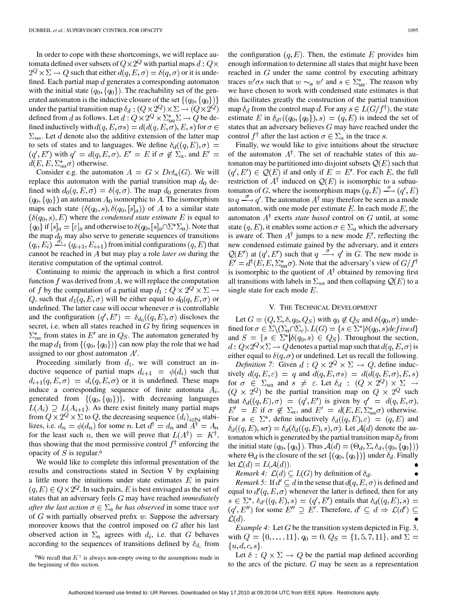In order to cope with these shortcomings, we will replace automata defined over subsets of  $Q \times 2^Q$  with partial maps  $d: Q \times$  $2^Q \times \Sigma \rightarrow Q$  such that either  $d(q, E, \sigma) = \delta(q, \sigma)$  or it is undefined. Each partial map  $d$  generates a corresponding automaton with the initial state  $(q_0, \{q_0\})$ . The reachability set of the generated automaton is the inductive closure of the set  $\{(q_0, \{q_0\})\}$ under the partial transition map  $\delta_d : (Q \times 2^Q) \times \Sigma \to (Q \times 2^Q)$ defined from d as follows. Let  $d: Q \times 2^Q \times \Sigma_{ua}^* \Sigma \to Q$  be defined inductively with  $d(q, E, \sigma s) = d(d(q, E, \sigma), E, s)$  for  $\sigma \in$  $\Sigma_{ua}$ . Let d denote also the additive extension of the latter map to sets of states and to languages. We define  $\delta_d((q,E),\sigma)$  =  $(q', E')$  with  $q' = d(q, E, \sigma)$ ,  $E' = E$  if  $\sigma \notin \Sigma_a$ , and  $E' =$  $d(E, E, \Sigma_{ua}^* \sigma)$  otherwise.

Consider e.g. the automaton  $A = G \times Det_a(G)$ . We will replace this automaton with the partial transition map  $d_0$  defined with  $d_0(q, E, \sigma) = \delta(q, \sigma)$ . The map  $d_0$  generates from  $(q_0, \{q_0\})$  an automaton  $A_0$  isomorphic to A. The isomorphism maps each state  $(\delta(q_0, s), \delta(q_0, [s]_a))$  of A to a similar state  $(\delta(q_0, s), E)$  where the *condensed state estimate* E is equal to  ${q_0}$  if  $[s]_a = [\varepsilon]_a$  and otherwise to  $\delta(q_0, [s]_a \cap \Sigma^* \Sigma_a)$ . Note that the map  $d_0$  may also serve to generate sequences of transitions  $f(q_i, E_i) \xrightarrow{\sigma_i} (q_{i+1}, E_{i+1})$  from initial configurations  $(q, E)$  that cannot be reached in A but may play a role *later on* during the iterative computation of the optimal control.

Continuing to mimic the approach in which a first control function  $f$  was derived from  $A$ , we will replace the computation of f by the computation of a partial map  $d_1: Q \times 2^Q \times \Sigma \rightarrow$ Q, such that  $d_1(q, E, \sigma)$  will be either equal to  $d_0(q, E, \sigma)$  or undefined. The latter case will occur whenever  $\sigma$  is controllable and the configuration  $(q', E') = \delta_{d_0}(q, E), \sigma$  discloses the secret, i.e. when all states reached in  $G$  by firing sequences in  $\Sigma_{ua}^*$  from states in E' are in  $Q_S$ . The automaton generated by the map  $d_1$  from  $\{(q_0, \{q_0\})\}$  can now play the role that we had assigned to our ghost automaton  $A'$ .

Proceeding similarly from  $d_1$ , we will construct an inductive sequence of partial maps  $d_{i+1} = \phi(d_i)$  such that  $d_{i+1}(q, E, \sigma) = d_i(q, E, \sigma)$  or it is undefined. These maps induce a corresponding sequence of finite automata  $A_i$ , generated from  $\{(q_0, \{q_0\})\}$ , with decreasing languages  $L(A_i) \supseteq L(A_{i+1})$ . As there exist finitely many partial maps from  $Q \times 2^Q \times \Sigma$  to Q, the decreasing sequence  $(d_i)_{i \in \mathbb{N}}$  stabilizes, i.e.  $d_n = \phi(d_n)$  for some n. Let  $d^{\dagger} = d_n$  and  $A^{\dagger} = A_n$ for the least such n, then we will prove that  $L(A^{\dagger}) = K^{\dagger}$ , thus showing that the most permissive control  $f^{\dagger}$  enforcing the opacity of  $S$  is regular.<sup>6</sup>

We would like to complete this informal presentation of the results and constructions stated in Section V by explaining a little more the intuitions under state estimates  $E$  in pairs  $(q, E) \in Q \times 2^Q$ . In such pairs, E is best envisaged as the set of states that an adversary feels G may have reached *immediately after the last action*  $\sigma \in \Sigma_a$  *he has observed* in some trace  $w\sigma$ of  $G$  with partially observed prefix  $w$ . Suppose the adversary moreover knows that the control imposed on  $G$  after his last observed action in  $\Sigma_a$  agrees with  $d_i$ , i.e. that G behaves according to the sequences of transitions defined by  $\delta_{d_i}$  from

<sup>6</sup>We recall that  $K^{\dagger}$  is always non-empty owing to the assumptions made in the beginning of this section.

the configuration  $(q, E)$ . Then, the estimate E provides him enough information to determine all states that might have been reached in  $G$  under the same control by executing arbitrary traces  $w' \sigma s$  such that  $w \sim_a w'$  and  $s \in \sum_{u=1}^{\infty}$ . The reason why we have chosen to work with condensed state estimates is that this facilitates greatly the construction of the partial transition map  $\delta_d$  from the control map d. For any  $s \in L(G/f^{\dagger})$ , the state estimate E in  $\delta_{d^{\dagger}}((q_0, \{q_0\}), s) = (q, E)$  is indeed the set of states that an adversary believes  $G$  may have reached under the control  $f^{\dagger}$  after the last action  $\sigma \in \Sigma_a$  in the trace s.

Finally, we would like to give intuitions about the structure of the automaton  $A^{\dagger}$ . The set of reachable states of this automaton may be partitioned into disjoint subsets  $\mathcal{Q}(E)$  such that  $(q', E') \in \mathcal{Q}(E)$  if and only if  $E = E'$ . For each E, the full restriction of  $A^{\dagger}$  induced on  $\mathcal{Q}(E)$  is isomorphic to a subautomaton of G, where the isomorphism maps  $(q, E) \xrightarrow{\sigma} (q', E)$ to  $q \stackrel{\sigma}{\longrightarrow} q'$ . The automaton  $A^{\dagger}$  may therefore be seen as a mode automaton, with one mode per estimate  $E$ . In each mode  $E$ , the automaton  $A^{\dagger}$  exerts *state based* control on G until, at some state  $(q, E)$ , it enables some action  $\sigma \in \Sigma_a$  which the adversary is aware of. Then  $A^{\dagger}$  jumps to a new mode E', reflecting the new condensed estimate gained by the adversary, and it enters  $\mathcal{Q}(E')$  at  $(q', E')$  such that  $q \stackrel{\sigma^*}{\longrightarrow} q'$  in G. The new mode is  $E' = d^{\dagger}(E, E, \Sigma_{ua}^* \sigma)$ . Note that the adversary's view of  $G/f^{\dagger}$ is isomorphic to the quotient of  $A^{\dagger}$  obtained by removing first all transitions with labels in  $\Sigma_{ua}$  and then collapsing  $\mathcal{Q}(E)$  to a single state for each mode  $E$ .

#### V. THE TECHNICAL DEVELOPMENT

Let  $G = (Q, \Sigma, \delta, q_0, Q_S)$  with  $q_0 \notin Q_S$  and  $\delta(q_0, \sigma)$  undefined for  $\sigma \in \Sigma \backslash (\Sigma_a \cap \Sigma_c)$ ,  $L(G) = \{ s \in \Sigma^* | \delta(q_0, s) \text{ defined} \}$ and  $S = \{s \in \Sigma^* | \delta(q_0, s) \in Q_S\}$ . Throughout the section,  $d: Q \times 2^Q \times \Sigma \longrightarrow Q$  denotes a partial map such that  $d(q, E, \sigma)$  is either equal to  $\delta(q, \sigma)$  or undefined. Let us recall the following.

*Definition 7:* Given  $d: Q \times 2^Q \times \Sigma \rightarrow Q$ , define inductively  $d(q, E, \varepsilon) = q$  and  $d(q, E, \sigma s) = d(d(q, E, \sigma), E, s)$ for  $\sigma \in \Sigma_{ua}$  and  $s \neq \varepsilon$ . Let  $\delta_d$  :  $(Q \times 2^Q) \times \Sigma \rightarrow$  $(Q \times 2^Q)$  be the partial transition map on  $Q \times 2^Q$  such that  $\delta_d((q, E), \sigma) = (q', E')$  is given by  $q' = d(q, E, \sigma)$ ,  $E' = E$  if  $\sigma \notin \Sigma_a$ , and  $E' = d(E, E, \Sigma_{ua}^* \sigma)$  otherwise. For  $s \in \Sigma^*$ , define inductively  $\delta_d((q, E), \varepsilon) = (q, E)$  and  $\delta_d((q, E), s\sigma) = \delta_d(\delta_d((q, E), s), \sigma)$ . Let  $\mathcal{A}(d)$  denote the automaton which is generated by the partial transition map  $\delta_d$  from the initial state  $(q_0, \{q_0\})$ . Thus  $\mathcal{A}(d) = (\Theta_d, \Sigma, \delta_d, (q_0, \{q_0\}))$ where  $\Theta_d$  is the closure of the set  $\{(q_0, \{q_0\})\}$  under  $\delta_d$ . Finally let  $\mathcal{L}(d) = L(\mathcal{A}(d)).$ 

*Remark 4:*  $\mathcal{L}(d) \subseteq L(G)$  by definition of  $\delta_d$ .

*Remark 5:* If  $d' \subseteq d$  in the sense that  $d(q, E, \sigma)$  is defined and equal to  $d'(q, E, \sigma)$  whenever the latter is defined, then for any  $s \in \Sigma^*, \delta_{d'}((q, E), s) = (q', E')$  entails that  $\delta_d((q, E), s) =$  $(q', E'')$  for some  $E'' \supseteq E'$ . Therefore,  $d' \subseteq d \Rightarrow \mathcal{L}(d') \subseteq$  $\mathcal{L}(d)$ .

*Example 4:* Let  $G$  be the transition system depicted in Fig. 3, with  $Q = \{0, \ldots, 11\}$ ,  $q_0 = 0$ ,  $Q_S = \{1, 5, 7, 11\}$ , and  $\Sigma =$  $\{u,d,c,s\}.$ 

Let  $\delta: Q \times \Sigma \rightarrow Q$  be the partial map defined according to the arcs of the picture.  $G$  may be seen as a representation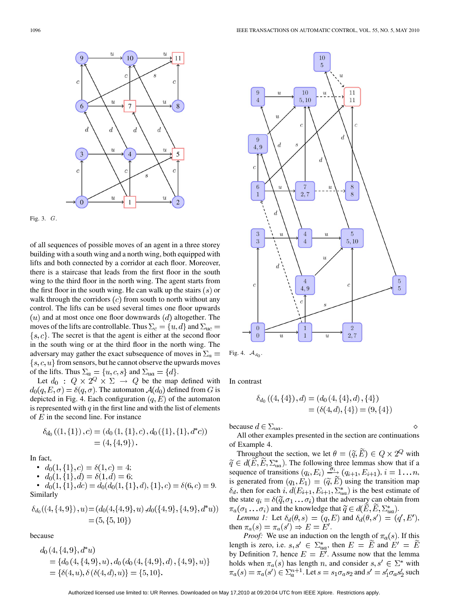



of all sequences of possible moves of an agent in a three storey building with a south wing and a north wing, both equipped with lifts and both connected by a corridor at each floor. Moreover, there is a staircase that leads from the first floor in the south wing to the third floor in the north wing. The agent starts from the first floor in the south wing. He can walk up the stairs  $(s)$  or walk through the corridors  $(c)$  from south to north without any control. The lifts can be used several times one floor upwards  $(u)$  and at most once one floor downwards  $(d)$  altogether. The moves of the lifts are controllable. Thus  $\Sigma_c = \{u, d\}$  and  $\Sigma_{uc} =$  $\{s, c\}$ . The secret is that the agent is either at the second floor in the south wing or at the third floor in the north wing. The adversary may gather the exact subsequence of moves in  $\Sigma_a$  =  ${s, c, u}$  from sensors, but he cannot observe the upwards moves of the lifts. Thus  $\Sigma_a = \{u, c, s\}$  and  $\Sigma_{ua} = \{d\}.$ 

Let  $d_0$  :  $Q \times 2^Q \times \Sigma \rightarrow Q$  be the map defined with  $d_0(q, E, \sigma) = \delta(q, \sigma)$ . The automaton  $\mathcal{A}(d_0)$  defined from G is depicted in Fig. 4. Each configuration  $(q, E)$  of the automaton is represented with  $q$  in the first line and with the list of elements of  $E$  in the second line. For instance

$$
\delta_{d_0}((1, \{1\}), c) = (d_0(1, \{1\}, c), d_0(\{1\}, \{1\}, d^*c))
$$
  
= (4, \{4, 9\}).

In fact,

•  $d_0(1,\{1\},c) = \delta(1,c) = 4;$ •  $d_0(1,\{1\},d) = \delta(1,d) = 6;$ 

• 
$$
d_0(1, \{1\}, dc) = d_0(d_0(1, \{1\}, d), \{1\}, c) = \delta(6, c) = 9.
$$
  
Similarly

$$
\delta_{d_0}((4, \{4, 9\}), u) = (d_0(4, \{4, 9\}, u), d_0(\{4, 9\}, \{4, 9\}, d^*u))
$$
  
= (5, \{5, 10\})

because

$$
d_0(4, {4, 9}, d^*u)
$$
  
= { $d_0$  (4, {4, 9}, u),  $d_0$  ( $d_0$  (4, {4, 9}, d), {4, 9}, u) }  
= { $\delta$ (4, u),  $\delta$  ( $\delta$ (4, d), u) } = {5, 10}.



$$
Fig. 4. \mathcal{A}_{d_0}.
$$

In contrast

$$
\delta_{d_0}((4,\{4\}),d) = (d_0(4,\{4\},d),\{4\})
$$
  
=  $(\delta(4,d),\{4\}) = (9,\{4\})$ 

because  $d \in \Sigma_{ua}$ .

All other examples presented in the section are continuations of Example 4.

Throughout the section, we let  $\theta = (\tilde{q}, \tilde{E}) \in Q \times 2^Q$  with . The following three lemmas show that if a sequence of transitions  $(q_i, E_i) \xrightarrow{v_i} (q_{i+1}, E_{i+1}), i = 1...n$ , is generated from  $(q_1, E_1) = (\tilde{q}, \tilde{E})$  using the transition map  $\delta_d$ , then for each i,  $d(E_{i+1}, E_{i+1}, \Sigma_{ua}^*)$  is the best estimate of the state  $q_i = \delta(\tilde{q}, \sigma_1 \dots \sigma_i)$  that the adversary can obtain from  $\pi_a(\sigma_1 \dots \sigma_i)$  and the knowledge that  $\widetilde{q} \in d(\widetilde{E}, \widetilde{E}, \Sigma_{na}^*)$ .

*Lemma 1:* Let  $\delta_d(\theta, s) = (q, E)$  and  $\delta_d(\theta, s') = (q', E')$ , then  $\pi_a(s) = \pi_a(s') \Rightarrow E = E'.$ 

*Proof:* We use an induction on the length of  $\pi_a(s)$ . If this length is zero, i.e.  $s, s' \in \Sigma_{ua}^*$ , then  $E = E$  and by Definition 7, hence  $E = E'$ . Assume now that the lemma holds when  $\pi_a(s)$  has length n, and consider  $s, s' \in \Sigma^*$  with  $\pi_a(s) = \pi_a(s') \in \sum_{a}^{n+1}$ . Let  $s = s_1 \sigma_a s_2$  and  $s' = s'_1 \sigma_a s'_2$  such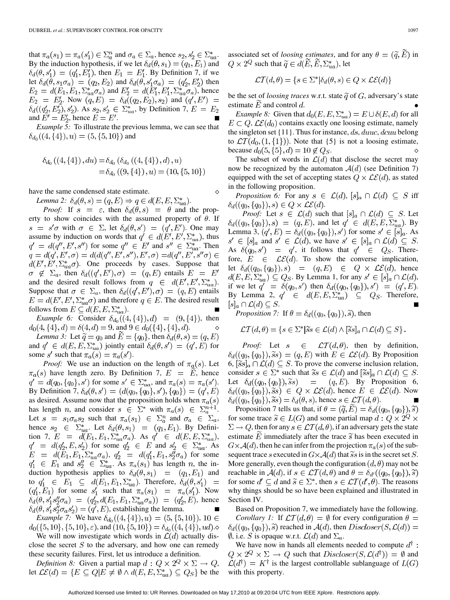that  $\pi_a(s_1) = \pi_a(s_1') \in \Sigma_a^n$  and  $\sigma_a \in \Sigma_a$ , hence  $s_2, s_2' \in \Sigma_{ua}^*$ . By the induction hypothesis, if we let  $\delta_d(\theta, s_1) = (q_1, E_1)$  and  $\delta_d(\theta, s'_1) = (q'_1, E'_1)$ , then  $E_1 = E'_1$ . By Definition 7, if we let  $\delta_d(\theta, s_1 \sigma_a) = (q_2, E_2)$  and  $\delta_d(\theta, s_1' \sigma_a) = (q_2', E_2')$  then  $E_2 = d(E_1, E_1, \Sigma_{ua}^* \sigma_a)$  and  $E_2' = d(E_1', E_1', \Sigma_{ua}^* \sigma_a)$ , hence  $E_2 = E'_2$ . Now  $(q, E) = \delta_d (q_2, E_2), s_2$  and  $(q', E') =$  $\delta_d((q'_2, E'_2), s'_2)$ . As  $s_2, s'_2 \in \sum_{ua}^*$ , by Definition 7,  $E = E_2$ and  $E' = E'_2$ , hence  $E = E'$ .

*Example 5:* To illustrate the previous lemma, we can see that  $\delta_{d_0}((4,\{4\}),u) = (5,\{5,10\})$  and

$$
\delta_{d_0}((4, \{4\}), du) = \delta_{d_0}(\delta_{d_0}((4, \{4\}), d), u)
$$
  
=  $\delta_{d_0}((9, \{4\}), u) = (10, \{5, 10\})$ 

have the same condensed state estimate.

*Lemma 2:*  $\delta_d(\theta, s) = (q, E) \Rightarrow q \in d(E, E, \Sigma_{ua}^*)$ .

*Proof:* If  $s = \varepsilon$ , then  $\delta_d(\theta, s) = \theta$  and the property to show coincides with the assumed property of  $\theta$ . If  $s = s'\sigma$  with  $\sigma \in \Sigma$ , let  $\delta_d(\theta, s') = (q', E')$ . One may assume by induction on words that  $q' \in d(E', E', \Sigma_{ua}^*)$ , thus  $q' = d(q'', E', s'')$  for some  $q'' \in E'$  and  $s'' \in \Sigma_{ua}^*$ . Then  $q = d(q', E', \sigma) = d(d(q'', E', s''), E', \sigma) = d(q'', E', s''\sigma) \in$  $d(E', E', \sum_{u}^* \sigma)$ . One proceeds by cases. Suppose that  $\sigma \notin \Sigma_a$ , then  $\delta_d((q', E'), \sigma) = (q, E)$  entails  $E = E'$ and the desired result follows from  $q \in d(E', E', \Sigma_{ua}^*)$ . Suppose that  $\sigma \in \Sigma_a$ , then  $\delta_d((q', E'), \sigma) = (q, E)$  entails  $E = d(E', E', \Sigma_{ua}^* \sigma)$  and therefore  $q \in E$ . The desired result follows from  $E \subseteq d(E, E, \Sigma_{ua}^*).$ 

*Example 6:* Consider  $\delta_{d_0}((4, \{4\}), d) = (9, \{4\})$ , then  $d_0(4,\{4\},d) = \delta(4,d) = 9$ , and  $9 \in d_0(\{4\},\{4\},d)$ .

*Lemma 3:* Let  $\widetilde{q} = q_0$  and  $\widetilde{E} = \{q_0\}$ , then  $\delta_d(\theta, s) = (q, E)$ and  $q' \in d(E, E, \Sigma_{ua}^*)$  jointly entail  $\delta_d(\theta, s') = (q', E)$  for some s' such that  $\pi_a(s) = \pi_a(s')$ .

*Proof:* We use an induction on the length of  $\pi_a(s)$ . Let  $\pi_a(s)$  have length zero. By Definition 7,  $E = \overline{E}$ , hence  $q' = d(q_0, \{q_0\}, s')$  for some  $s' \in \Sigma_{ua}^*$ , and  $\pi_a(s) = \pi_a(s')$ . By Definition 7,  $\delta_d(\theta, s') = (d(q_0, \{q_0\}, s'), \{q_0\}) = (q', E)$ as desired. Assume now that the proposition holds when  $\pi_a(s)$ has length *n*, and consider  $s \in \Sigma^*$  with  $\pi_a(s) \in \Sigma_a^{n+1}$ . Let  $s = s_1 \sigma_a s_2$  such that  $\pi_a(s_1) \in \Sigma_a^n$  and  $\sigma_a \in \Sigma_a$ , hence  $s_2 \in \Sigma_{ua}^*$ . Let  $\delta_d(\theta, s_1) = (q_1, E_1)$ . By Definition 7,  $E = d(E_1, E_1, \Sigma_{ua}^* \sigma_a)$ . As  $q' \in d(E, E, \Sigma_{ua}^*),$  $q' = d(q'_2, E, s'_2)$  for some  $q'_2 \in E$  and  $s'_2 \in \Sigma_{ua}^*$ . As ,  $q'_2 = d(q'_1, E_1, s''_2 \sigma_a)$  for some and  $s_2'' \in \sum_{na}^*$ . As  $\pi_a(s_1)$  has length n, the induction hypothesis applies to  $\delta_d(\theta, s_1) = (q_1, E_1)$  and to  $q'_1 \in E_1 \subseteq d(E_1, E_1, \Sigma_{ua}^*)$ . Therefore,  $\delta_d(\theta, s'_1)$  = for some  $s_1'$  such that  $\pi_a(s_1) = \pi_a(s_1')$ . Now , hence  $\delta_d(\theta, s_1's_2''\sigma_a s_2') = (q', E)$ , establishing the lemma.

*Example 7:* We have  $\delta_{d_0}((4,\{4\}),u) = (5,\{5,10\}), 10 \in$  $d_0({5, 10}, {5, 10}, \varepsilon)$ , and  $(10, {5, 10}) = \delta_{d_0}((4, {4}), ud)$ .

We will now investigate which words in  $\mathcal{L}(d)$  actually disclose the secret  $S$  to the adversary, and how one can remedy these security failures. First, let us introduce a definition.

*Definition 8:* Given a partial map  $d: Q \times 2^Q \times \Sigma \rightarrow Q$ , let  $\mathcal{LE}(d) = \{ E \subseteq Q | E \neq \emptyset \land d(E, E, \Sigma_{ua}^*) \subseteq Q_S \}$  be the associated set of *loosing estimates*, and for any  $\theta = (\tilde{q}, \tilde{E})$  in  $Q \times 2^Q$  such that  $\widetilde{q} \in d(E, E, \Sigma_{ua}^*)$ , let

$$
\mathcal{LT}(d,\theta) = \{ s \in \Sigma^* | \delta_d(\theta,s) \in Q \times \mathcal{LE}(d) \}
$$

be the set of *loosing traces* w.r.t. state  $\tilde{q}$  of  $G$ , adversary's state estimate  $E$  and control  $d$ .

*Example 8:* Given that  $d_0(E, E, \Sigma_{ua}^*) = E \cup \delta(E, d)$  for all  $E \subset Q$ ,  $\mathcal{LE}(d_0)$  contains exactly one loosing estimate, namely the singleton set  $\{11\}$ . Thus for instance,  $ds, duuc, dcuu$  belong to  $\mathcal{LT}(d_0, (1, \{1\}))$ . Note that  $\{5\}$  is not a loosing estimate, because  $d_0(5, \{5\}, d) = 10 \notin Q_S$ .

The subset of words in  $\mathcal{L}(d)$  that disclose the secret may now be recognized by the automaton  $A(d)$  (see Definition 7) equipped with the set of accepting states  $Q \times \mathcal{LE}(d)$ , as stated in the following proposition.

*Proposition 6:* For any  $s \in \mathcal{L}(d)$ ,  $[s]_a \cap \mathcal{L}(d) \subseteq S$  iff  $\delta_d((q_0,\lbrace q_0 \rbrace),s) \in Q \times \mathcal{LE}(d).$ 

*Proof:* Let  $s \in \mathcal{L}(d)$  such that  $[s]_a \cap \mathcal{L}(d) \subseteq S$ . Let  $\delta_d((q_0, \{q_0\}), s) = (q, E)$ , and let  $q' \in d(E, E, \Sigma_{ua}^*)$ . By Lemma 3,  $(q', E) = \delta_d((q_0, \{q_0\}), s')$  for some  $s' \in [s]_a$ . As  $s' \in [s]_a$  and  $s' \in \mathcal{L}(d)$ , we have  $s' \in [s]_a \cap \mathcal{L}(d) \subseteq S$ . As  $\delta(q_0, s') = q'$ , it follows that  $q' \in Q_S$ . Therefore,  $E \in \mathcal{LE}(d)$ . To show the converse implication, let  $\delta_d((q_0, \{q_0\}), s) = (q, E) \in Q \times \mathcal{LE}(d)$ , hence  $d(E, E, \Sigma_{ua}^*) \subseteq Q_S$ . By Lemma 1, for any  $s' \in [s]_a \cap \mathcal{L}(d)$ , if we let  $q' = \delta(q_0, s')$  then  $\delta_d((q_0, \{q_0\}), s') = (q', E)$ . By Lemma 2,  $q' \in d(E, E, \Sigma_{ua}^*) \subseteq Q_S$ . Therefore,  $[s]_a \cap \mathcal{L}(d) \subseteq S.$ 

*Proposition 7:* If  $\theta = \delta_d((q_0, \{q_0\}), \tilde{s})$ , then

$$
\mathcal{LT}(d,\theta) = \{ s \in \Sigma^* | \widetilde{s} s \in \mathcal{L}(d) \land [\widetilde{s} s]_a \cap \mathcal{L}(d) \subseteq S \}.
$$

*Proof:* Let  $s \in \mathcal{LT}(d, \theta)$ , then by definition,  $\delta_d((q_0, \{q_0\}), \tilde{s}s) = (q, E)$  with  $E \in \mathcal{LE}(d)$ . By Proposition 6,  $[\widetilde{ss}]_a \cap \mathcal{L}(d) \subseteq S$ . To prove the converse inclusion relation, consider  $s \in \Sigma^*$  such that  $\widetilde{s}s \in \mathcal{L}(d)$  and  $[\widetilde{s}s]_a \cap \mathcal{L}(d) \subseteq S$ . Let  $\delta_d((q_0, \{q_0\}), \tilde{s}s)$  =  $(q, E)$ . By Proposition 6,  $\delta_d((q_0, \{q_0\}), \tilde{s}s) \in Q \times \mathcal{LE}(d)$ , hence  $E \in \mathcal{LE}(d)$ . Now  $\delta_d((q_0, \{q_0\}), \tilde{s}s) = \delta_d(\theta, s)$ , hence  $s \in \mathcal{LT}(d, \theta)$ .

Proposition 7 tells us that, if  $\theta = (\tilde{q}, E) = \delta_d((q_0, \{q_0\}), \tilde{s})$ for some trace  $\widetilde{s} \in L(G)$  and some partial map  $d: Q \times 2^Q \times$  $\Sigma \to Q$ , then for any  $s \in \mathcal{LT}(d, \theta)$ , if an adversary gets the state estimate E immediately after the trace  $\tilde{s}$  has been executed in  $G \times \mathcal{A}(d)$ , then he can infer from the projection  $\pi_a(s)$  of the subsequent trace s executed in  $G \times A(d)$  that is in the secret set S. More generally, even though the configuration  $(d, \theta)$  may not be reachable in  $\mathcal{A}(d)$ , if  $s \in \mathcal{LT}(d, \theta)$  and  $\theta = \delta_{d'}((q_0, \{q_0\}), \tilde{s})$ for some  $d' \subseteq d$  and  $\widetilde{s} \in \Sigma^*$ , then  $s \in \mathcal{LT}(d', \theta)$ . The reasons why things should be so have been explained and illustrated in Section IV.

Based on Proposition 7, we immediately have the following. *Corollary 1:* If  $\mathcal{LT}(d, \theta) = \emptyset$  for every configuration  $\theta =$  $\delta_d((q_0, \{q_0\}), \tilde{s})$  reached in  $\mathcal{A}(d)$ , then  $Discloser(S, \mathcal{L}(d)) =$  $\emptyset$ , i.e. S is opaque w.r.t.  $\mathcal{L}(d)$  and  $\Sigma_a$ .

We have now in hands all elements needed to compute  $d^{\dagger}$ :  $\mathbb{Q} \times 2^{\mathcal{Q}} \times \Sigma \rightarrow \mathbb{Q}$  such that  $Discloser(S, \mathcal{L}(d^{\dagger})) = \emptyset$  and  $\mathcal{L}(d^{\dagger}) = K^{\dagger}$  is the largest controllable sublanguage of  $L(G)$ with this property.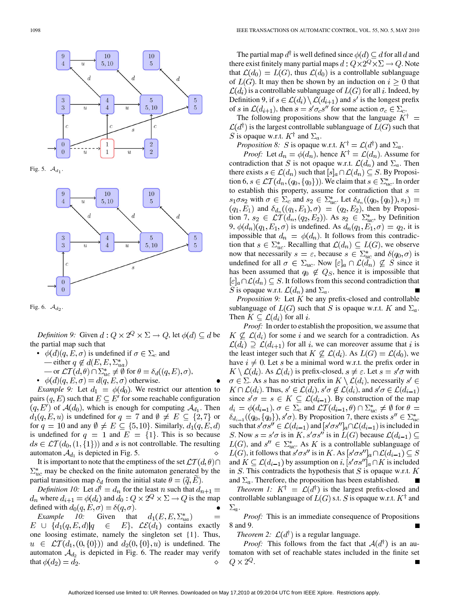

Fig. 5.  $\mathcal{A}_{d_1}$ 





*Definition 9:* Given  $d: Q \times 2^Q \times \Sigma \rightarrow Q$ , let  $\phi(d) \subseteq d$  be the partial map such that

- $\phi(d)(q, E, \sigma)$  is undefined if  $\sigma \in \Sigma_c$  and — either  $q \notin d(E, E, \Sigma_{ua}^*)$ 
	- or  $\mathcal{LT}(d, \theta) \cap \Sigma_{uc}^* \neq \emptyset$  for  $\theta = \delta_d((q, E), \sigma)$ ,
- $\phi(d)(q, E, \sigma) = d(q, E, \sigma)$  otherwise.

*Example 9:* Let  $d_1 = \phi(d_0)$ . We restrict our attention to pairs  $(q, E)$  such that  $E \subseteq E'$  for some reachable configuration  $(q, E')$  of  $\mathcal{A}(d_0)$ , which is enough for computing  $\mathcal{A}_{d_1}$ . Then  $d_1(q, E, u)$  is undefined for  $q = 7$  and  $\emptyset \neq E \subseteq \{2, 7\}$  or for  $q = 10$  and any  $\emptyset \neq E \subseteq \{5, 10\}$ . Similarly,  $d_1(q, E, d)$ is undefined for  $q = 1$  and  $E = \{1\}$ . This is so because  $ds \in \mathcal{LT}(d_0, (1, \{1\}))$  and s is not controllable. The resulting automaton  $\mathcal{A}_{d_1}$  is depicted in Fig. 5.

It is important to note that the emptiness of the set  $\mathcal{LT}(d, \theta) \cap$  $\Sigma_{uc}^{*}$  may be checked on the finite automaton generated by the partial transition map  $\delta_d$  from the initial state  $\theta = (\tilde{q}, E)$ .

*Definition 10:* Let  $d^{\dagger} = d_n$  for the least n such that  $d_{n+1} =$  $d_n$  where  $d_{i+1} = \phi(d_i)$  and  $d_0: Q \times 2^Q \times \Sigma \rightarrow Q$  is the map defined with  $d_0(q, E, \sigma) = \delta(q, \sigma)$ .

*Example 10:* Given that  $d_1(E, E, \Sigma_{ua}^*)$  $E \cup \{d_1(q,E,d)|q \in E\}$ ,  $\mathcal{LE}(d_1)$  contains exactly one loosing estimate, namely the singleton set {1}. Thus,  $u \in \mathcal{LT}(d_1, (0, \{0\}))$  and  $d_2(0, \{0\}, u)$  is undefined. The automaton  $A_{d_2}$  is depicted in Fig. 6. The reader may verify that  $\phi(d_2) = d_2$ .

The partial map  $d^{\dagger}$  is well defined since  $\phi(d) \subseteq d$  for all d and there exist finitely many partial maps  $d: Q \times 2^Q \times \Sigma \to Q$ . Note that  $\mathcal{L}(d_0) = L(G)$ , thus  $\mathcal{L}(d_0)$  is a controllable sublanguage of  $L(G)$ . It may then be shown by an induction on  $i \geq 0$  that  $\mathcal{L}(d_i)$  is a controllable sublanguage of  $L(G)$  for all i. Indeed, by Definition 9, if  $s \in \mathcal{L}(d_i) \setminus \mathcal{L}(d_{i+1})$  and  $s'$  is the longest prefix of s in  $\mathcal{L}(d_{i+1})$ , then  $s = s'\sigma_c s''$  for some action  $\sigma_c \in \Sigma_c$ .

The following propositions show that the language  $K^{\dagger}$  =  $\mathcal{L}(d^{\dagger})$  is the largest controllable sublanguage of  $L(G)$  such that S is opaque w.r.t.  $K^{\dagger}$  and  $\Sigma_a$ .

*Proposition 8: S* is opaque w.r.t.  $K^{\dagger} = \mathcal{L}(d^{\dagger})$  and  $\Sigma_a$ .

*Proof:* Let  $d_n = \phi(d_n)$ , hence  $K^{\dagger} = \mathcal{L}(d_n)$ . Assume for contradiction that S is not opaque w.r.t.  $\mathcal{L}(d_n)$  and  $\Sigma_a$ . Then there exists  $s \in \mathcal{L}(d_n)$  such that  $[s]_a \cap \mathcal{L}(d_n) \subseteq S$ . By Proposition 6,  $s \in \mathcal{LT}(d_n, (q_0, \{q_0\}))$ . We claim that  $s \in \sum_{u}^{*}$ . In order to establish this property, assume for contradiction that  $s =$  $s_1 \sigma s_2$  with  $\sigma \in \Sigma_c$  and  $s_2 \in \Sigma_{uc}^*$ . Let  $\delta_{d_n}((q_0, \{q_0\}), s_1) =$  $(q_1, E_1)$  and  $\delta_{d_n}((q_1, E_1), \sigma) = (q_2, E_2)$ , then by Proposition 7,  $s_2 \in \mathcal{LT}(d_n, (q_2, E_2))$ . As  $s_2 \in \Sigma_{uc}^*$ , by Definition 9,  $\phi(d_n)(q_1, E_1, \sigma)$  is undefined. As  $d_n(q_1, E_1, \sigma) = q_2$ , it is impossible that  $d_n = \phi(d_n)$ . It follows from this contradiction that  $s \in \sum_{uc}^*$ . Recalling that  $\mathcal{L}(d_n) \subseteq L(G)$ , we observe now that necessarily  $s = \varepsilon$ , because  $s \in \sum_{n=1}^{\infty}$  and  $\delta(q_0, \sigma)$  is undefined for all  $\sigma \in \Sigma_{uc}$ . Now  $[\varepsilon]_a \cap \mathcal{L}(d_n) \nsubseteq S$  since it has been assumed that  $q_0 \notin Q_S$ , hence it is impossible that  $[\varepsilon]_a \cap \mathcal{L}(d_n) \subseteq S$ . It follows from this second contradiction that S is opaque w.r.t.  $\mathcal{L}(d_n)$  and  $\Sigma_a$ .

*Proposition 9:* Let  $K$  be any prefix-closed and controllable sublanguage of  $L(G)$  such that S is opaque w.r.t. K and  $\Sigma_a$ . Then  $K \subset \mathcal{L}(d_i)$  for all i.

*Proof:* In order to establish the proposition, we assume that  $K \nsubseteq \mathcal{L}(d_i)$  for some i and we search for a contradiction. As  $\mathcal{L}(d_i) \supseteq \mathcal{L}(d_{i+1})$  for all i, we can moreover assume that i is the least integer such that  $K \not\subseteq \mathcal{L}(d_i)$ . As  $L(G) = \mathcal{L}(d_0)$ , we have  $i \neq 0$ . Let s be a minimal word w.r.t. the prefix order in  $K \setminus \mathcal{L}(d_i)$ . As  $\mathcal{L}(d_i)$  is prefix-closed,  $s \neq \varepsilon$ . Let  $s = s' \sigma$  with  $\sigma \in \Sigma$ . As s has no strict prefix in  $K \setminus \mathcal{L}(d_i)$ , necessarily  $s' \in$  $K \cap \mathcal{L}(d_i)$ . Thus,  $s' \in \mathcal{L}(d_i)$ ,  $s' \sigma \notin \mathcal{L}(d_i)$ , and  $s' \sigma \in \mathcal{L}(d_{i-1})$ since  $s'\sigma = s \in K \subseteq \mathcal{L}(d_{i-1})$ . By construction of the map  $d_i = \phi(d_{i-1}), \sigma \in \Sigma_c$  and  $\mathcal{LT}(d_{i-1}, \theta) \cap \Sigma_{uc}^* \neq \emptyset$  for  $\theta =$  $\delta_{d_{i-1}}((q_0, \{q_0\}), s\prime\sigma)$ . By Proposition 7, there exists  $s'' \in \sum_{u}^{*}$ such that  $s'\sigma s'' \in \mathcal{L}(d_{i-1})$  and  $[s'\sigma s'']_a \cap \mathcal{L}(d_{i-1})$  is included in S. Now  $s = s'\sigma$  is in  $K$ ,  $s'\sigma s''$  is in  $L(G)$  because  $\mathcal{L}(d_{i-1}) \subseteq$ , and  $s'' \in \sum_{uc}^{\infty}$ . As K is a controllable sublanguage of , it follows that  $s'\sigma s''$  is in K. As and  $K \subseteq \mathcal{L}(d_{i-1})$  by assumption on  $i, [s'\sigma s'']_a \cap K$  is included in  $S$ . This contradicts the hypothesis that  $S$  is opaque w.r.t.  $K$ and  $\Sigma_a$ . Therefore, the proposition has been established.

*Theorem 1:*  $K^{\dagger} = \mathcal{L}(d^{\dagger})$  is the largest prefix-closed and controllable sublanguage of  $L(G)$  s.t. S is opaque w.r.t.  $K^{\dagger}$  and  $\Sigma_a$ .

*Proof:* This is an immediate consequence of Propositions 8 and 9.

*Theorem 2:*  $\mathcal{L}(d^{\dagger})$  is a regular language.

*Proof:* This follows from the fact that  $A(d^{\dagger})$  is an automaton with set of reachable states included in the finite set  $Q \times 2^Q$ .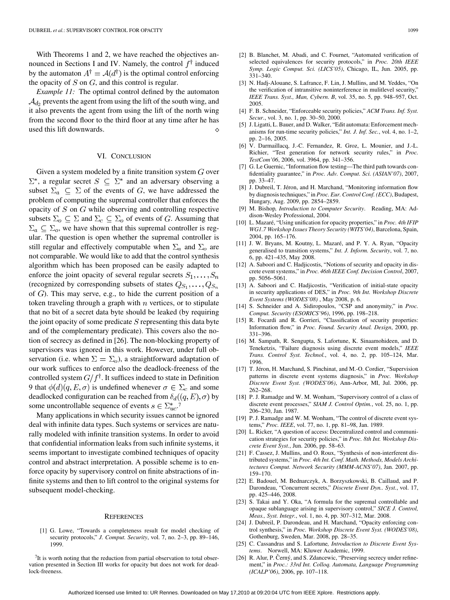With Theorems 1 and 2, we have reached the objectives announced in Sections I and IV. Namely, the control  $f^{\dagger}$  induced by the automaton  $A^{\dagger} = \mathcal{A}(d^{\dagger})$  is the optimal control enforcing the opacity of  $S$  on  $G$ , and this control is regular.

*Example 11:* The optimal control defined by the automaton  $\mathcal{A}_{d_2}$  prevents the agent from using the lift of the south wing, and it also prevents the agent from using the lift of the north wing from the second floor to the third floor at any time after he has used this lift downwards.

#### VI. CONCLUSION

Given a system modeled by a finite transition system  $G$  over  $\Sigma^*$ , a regular secret  $S \subseteq \Sigma^*$  and an adversary observing a subset  $\Sigma_a \subseteq \Sigma$  of the events of G, we have addressed the problem of computing the supremal controller that enforces the opacity of  $S$  on  $G$  while observing and controlling respective subsets  $\Sigma_o \subseteq \Sigma$  and  $\Sigma_c \subseteq \Sigma_o$  of events of G. Assuming that  $\Sigma_a \subseteq \Sigma_o$ , we have shown that this supremal controller is regular. The question is open whether the supremal controller is still regular and effectively computable when  $\Sigma_a$  and  $\Sigma_o$  are not comparable. We would like to add that the control synthesis algorithm which has been proposed can be easily adapted to enforce the joint opacity of several regular secrets  $S_1, \ldots, S_n$ (recognized by corresponding subsets of states  $Q_{S_1}, \ldots, Q_{S_n}$ of  $G$ ). This may serve, e.g., to hide the current position of a token traveling through a graph with  $n$  vertices, or to stipulate that no bit of a secret data byte should be leaked (by requiring the joint opacity of some predicate  $S$  representing this data byte and of the complementary predicate). This covers also the notion of secrecy as defined in [26]. The non-blocking property of supervisors was ignored in this work. However, under full observation (i.e. when  $\Sigma = \Sigma_0$ ), a straightforward adaptation of our work suffices to enforce also the deadlock-freeness of the controlled system  $G/f^{\dagger}$ . It suffices indeed to state in Definition 9 that  $\phi(d)(q, E, \sigma)$  is undefined whenever  $\sigma \in \Sigma_c$  and some deadlocked configuration can be reached from  $\delta_d((q, E), \sigma)$  by some uncontrollable sequence of events  $s \in \sum_{n=1}^{\infty}$ 

Many applications in which security issues cannot be ignored deal with infinite data types. Such systems or services are naturally modeled with infinite transition systems. In order to avoid that confidential information leaks from such infinite systems, it seems important to investigate combined techniques of opacity control and abstract interpretation. A possible scheme is to enforce opacity by supervisory control on finite abstractions of infinite systems and then to lift control to the original systems for subsequent model-checking.

#### **REFERENCES**

[1] G. Lowe, "Towards a completeness result for model checking of security protocols," *J. Comput. Security*, vol. 7, no. 2–3, pp. 89–146, 1999.

<sup>7</sup>It is worth noting that the reduction from partial observation to total observation presented in Section III works for opacity but does not work for deadlock-freeness.

- [2] B. Blanchet, M. Abadi, and C. Fournet, "Automated verification of selected equivalences for security protocols," in *Proc. 20th IEEE Symp. Logic Comput. Sci. (LICS'05)*, Chicago, IL, Jun. 2005, pp. 331–340.
- [3] N. Hadj-Alouane, S. Lafrance, F. Lin, J. Mullins, and M. Yeddes, "On the verification of intransitive noninterference in mulitlevel security," *IEEE Trans. Syst., Man, Cybern. B*, vol. 35, no. 5, pp. 948–957, Oct. 2005.
- [4] F. B. Schneider, "Enforceable security policies," *ACM Trans. Inf. Syst. Secur.*, vol. 3, no. 1, pp. 30–50, 2000.
- [5] J. Ligatti, L. Bauer, and D. Walker, "Edit automata: Enforcement mechanisms for run-time security policies," *Int. J. Inf. Sec.*, vol. 4, no. 1–2, pp. 2–16, 2005.
- [6] V. Darmaillacq, J.-C. Fernandez, R. Groz, L. Mounier, and J.-L. Richier, "Test generation for network security rules," in *Proc. TestCom'06*, 2006, vol. 3964, pp. 341–356.
- [7] G. Le Guernic, "Information flow testing—The third path towards confidentiality guarantee," in *Proc. Adv. Comput. Sci. (ASIAN'07)*, 2007, pp. 33–47.
- [8] J. Dubreil, T. Jéron, and H. Marchand, "Monitoring information flow by diagnosis techniques," in *Proc. Eur. Control Conf. (ECC)*, Budapest, Hungary, Aug. 2009, pp. 2854–2859.
- [9] M. Bishop*, Introduction to Computer Security*. Reading, MA: Addison-Wesley Professional, 2004.
- [10] L. Mazaré, "Using unification for opacity properties," in *Proc. 4th IFIP WG1.7 Workshop Issues Theory Security (WITS'04)*, Barcelona, Spain, 2004, pp. 165–176.
- [11] J. W. Bryans, M. Koutny, L. Mazaré, and P. Y. A. Ryan, "Opacity generalised to transition systems," *Int. J. Inform. Security*, vol. 7, no. 6, pp. 421–435, May 2008.
- [12] A. Saboori and C. Hadjicostis, "Notions of security and opacity in discrete event systems," in *Proc. 46th IEEE Conf. Decision Control*, 2007, pp. 5056–5061.
- [13] A. Saboori and C. Hadjicostis, "Verification of initial-state opacity in security applications of DES," in *Proc. 9th Int. Workshop Discrete Event Systems (WODES'08)* , May 2008, p. 6.
- [14] S. Schneider and A. Sidiropoulos, "CSP and anonymity," in *Proc. Comput. Security (ESORICS'96)*, 1996, pp. 198–218.
- [15] R. Focardi and R. Gorrieri, "Classification of security properties: Information flow," in *Proc. Found. Security Anal. Design*, 2000, pp. 331–396.
- [16] M. Sampath, R. Sengupta, S. Lafortune, K. Sinaamohideen, and D. Teneketzis, "Failure diagnosis using discrete event models," *IEEE Trans. Control Syst. Technol.*, vol. 4, no. 2, pp. 105–124, Mar. 1996.
- [17] T. Jéron, H. Marchand, S. Pinchinat, and M.-O. Cordier, "Supervision patterns in discrete event systems diagnosis," in *Proc. Workshop Discrete Event Syst. (WODES'06)*, Ann-Arbor, MI, Jul. 2006, pp. 262–268.
- [18] P. J. Ramadge and W. M. Wonham, "Supervisory control of a class of discrete event processes," *SIAM J. Control Optim.*, vol. 25, no. 1, pp. 206–230, Jan. 1987.
- [19] P. J. Ramadge and W. M. Wonham, "The control of discrete event systems," *Proc. IEEE*, vol. 77, no. 1, pp. 81–98, Jan. 1989.
- [20] L. Ricker, "A question of access: Decentralized control and communication strategies for security policies," in *Proc. 8th Int. Workshop Discrete Event Syst.*, Jun. 2006, pp. 58–63.
- [21] F. Cassez, J. Mullins, and O. Roux, "Synthesis of non-interferent distributed systems," in *Proc. 4th Int. Conf. Math. Methods, Models Architectures Comput. Network Security (MMM-ACNS'07)*, Jan. 2007, pp. 159–170.
- [22] E. Badouel, M. Bednarczyk, A. Borzyszkowski, B. Caillaud, and P. Darondeau, "Concurrent secrets," *Discrete Event Dyn.. Syst.*, vol. 17, pp. 425–446, 2008.
- [23] S. Takai and Y. Oka, "A formula for the supremal controllable and opaque sublanguage arising in supervisory control," *SICE J. Control, Meas., Syst. Integr.*, vol. 1, no. 4, pp. 307–312, Mar. 2008.
- [24] J. Dubreil, P. Darondeau, and H. Marchand, "Opacity enforcing control synthesis," in *Proc. Workshop Discrete Event Syst. (WODES'08)*, Gothenburg, Sweden, Mar. 2008, pp. 28–35.
- [25] C. Cassandras and S. Lafortune*, Introduction to Discrete Event Systems*. Norwell, MA: Kluwer Academic, 1999.
- [26] R. Alur, P. Černý, and S. Zdancewic, "Preserving secrecy under refinement," in *Proc.: 33rd Int. Colloq. Automata, Language Programming (ICALP'06)*, 2006, pp. 107–118.